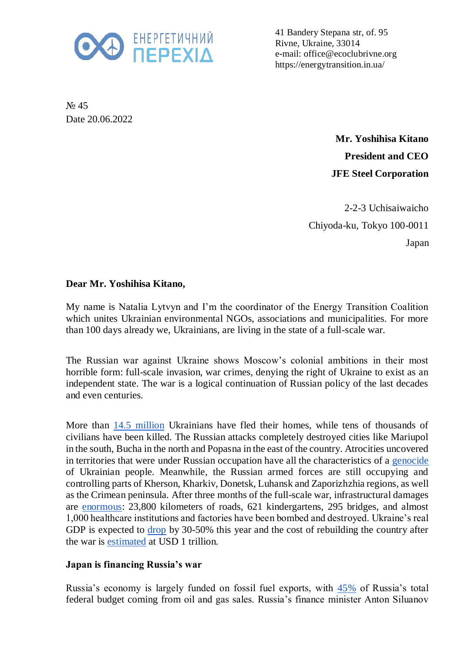

41 Bandery Stepana str, of. 95 Rivne, Ukraine, 33014 e-mail: office@ecoclubrivne.org https://energytransition.in.ua/

№ 45 Date 20.06.2022

> **Mr. Yoshihisa Kitano President and CEO JFE Steel Corporation**

2-2-3 Uchisaiwaicho Chiyoda-ku, Tokyo 100-0011 Japan

## **Dear Mr. Yoshihisa Kitano,**

My name is Natalia Lytvyn and I'm the coordinator of the Energy Transition Coalition which unites Ukrainian environmental NGOs, associations and municipalities. For more than 100 days already we, Ukrainians, are living in the state of a full-scale war.

The Russian war against Ukraine shows Moscow's colonial ambitions in their most horrible form: full-scale invasion, war crimes, denying the right of Ukraine to exist as an independent state. The war is a logical continuation of Russian policy of the last decades and even centuries.

More than [14.5 million](https://data.unhcr.org/en/situations/ukraine) Ukrainians have fled their homes, while tens of thousands of civilians have been killed. The Russian attacks completely destroyed cities like Mariupol in the south, Bucha in the north and Popasna in the east of the country. Atrocities uncovered in territories that were under Russian occupation have all the characteristics of a [genocide](https://newlinesinstitute.org/russia/an-independent-legal-analysis-of-the-russian-federations-breaches-of-the-genocide-convention-in-ukraine-and-the-duty-to-prevent/) of Ukrainian people. Meanwhile, the Russian armed forces are still occupying and controlling parts of Kherson, Kharkiv, Donetsk, Luhansk and Zaporizhzhia regions, as well as the Crimean peninsula. After three months of the full-scale war, infrastructural damages are [enormous:](https://kse.ua/about-the-school/news/direct-damage-caused-to-ukraine-s-infrastructure-during-the-war-has-reached-over-105-5-billion/) 23,800 kilometers of roads, 621 kindergartens, 295 bridges, and almost 1,000 healthcare institutions and factories have been bombed and destroyed. Ukraine's real GDP is expected to [drop](https://www.reuters.com/business/ukraine-finance-minister-forecasts-45-gdp-drop-committed-servicing-debt-2022-05-11/) by 30-50% this year and the cost of rebuilding the country after the war is [estimated](https://voxeu.org/content/blueprint-reconstruction-ukraine) at USD 1 trillion.

## **Japan is financing Russia's war**

Russia's economy is largely funded on fossil fuel exports, with [45%](https://www.iea.org/articles/energy-fact-sheet-why-does-russian-oil-and-gas-matter) of Russia's total federal budget coming from oil and gas sales. Russia's finance minister Anton Siluanov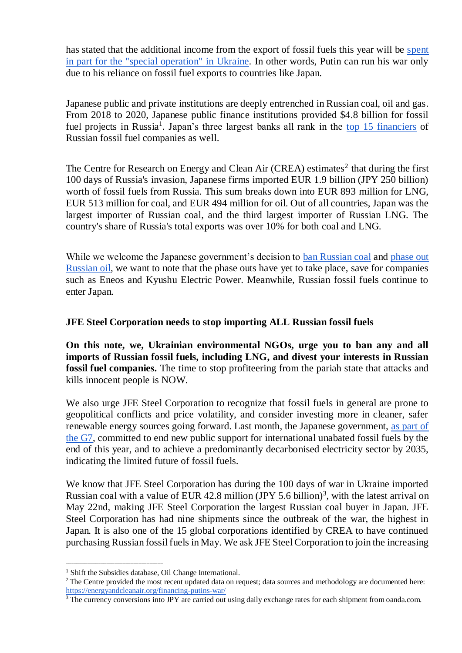has stated that the additional income from the export of fossil fuels this year will be [spent](https://www.tagesschau.de/newsticker/liveblog-ukraine-samstag-141.html#Mehreinnahmen)  [in part for the "special operation"](https://www.tagesschau.de/newsticker/liveblog-ukraine-samstag-141.html#Mehreinnahmen) in Ukraine. In other words, Putin can run his war only due to his reliance on fossil fuel exports to countries like Japan.

Japanese public and private institutions are deeply entrenched in Russian coal, oil and gas. From 2018 to 2020, Japanese public finance institutions provided \$4.8 billion for fossil fuel projects in Russia<sup>1</sup>. Japan's three largest banks all rank in the [top 15 financiers](https://putin100.org/) of Russian fossil fuel companies as well.

The Centre for Research on Energy and Clean Air (CREA) estimates<sup>2</sup> that during the first 100 days of Russia's invasion, Japanese firms imported EUR 1.9 billion (JPY 250 billion) worth of fossil fuels from Russia. This sum breaks down into EUR 893 million for LNG, EUR 513 million for coal, and EUR 494 million for oil. Out of all countries, Japan was the largest importer of Russian coal, and the third largest importer of Russian LNG. The country's share of Russia's total exports was over 10% for both coal and LNG.

While we welcome the Japanese government's decision to [ban Russian coal](https://www.spglobal.com/commodityinsights/en/market-insights/latest-news/oil/040822-japan-to-phase-out-russian-coal-imports-with-eye-to-suspend-it-on-g7-pledge-minister) and phase out [Russian oil,](https://www.reuters.com/world/europe/biden-meets-with-g7-leaders-ukraines-zelenskiy-discuss-war-2022-05-08/) we want to note that the phase outs have yet to take place, save for companies such as Eneos and Kyushu Electric Power. Meanwhile, Russian fossil fuels continue to enter Japan.

## **JFE Steel Corporation needs to stop importing ALL Russian fossil fuels**

**On this note, we, Ukrainian environmental NGOs, urge you to ban any and all imports of Russian fossil fuels, including LNG, and divest your interests in Russian fossil fuel companies.** The time to stop profiteering from the pariah state that attacks and kills innocent people is NOW.

We also urge JFE Steel Corporation to recognize that fossil fuels in general are prone to geopolitical conflicts and price volatility, and consider investing more in cleaner, safer renewable energy sources going forward. Last month, the Japanese government, [as part of](https://www.env.go.jp/press/files/jp/118111.pdf)  [the G7,](https://www.env.go.jp/press/files/jp/118111.pdf) committed to end new public support for international unabated fossil fuels by the end of this year, and to achieve a predominantly decarbonised electricity sector by 2035, indicating the limited future of fossil fuels.

We know that JFE Steel Corporation has during the 100 days of war in Ukraine imported Russian coal with a value of EUR 42.8 million (JPY 5.6 billion)<sup>3</sup>, with the latest arrival on May 22nd, making JFE Steel Corporation the largest Russian coal buyer in Japan. JFE Steel Corporation has had nine shipments since the outbreak of the war, the highest in Japan. It is also one of the 15 global corporations identified by CREA to have continued purchasing Russian fossil fuels in May. We ask JFE Steel Corporation to join the increasing

\_\_\_\_\_\_\_\_\_\_\_\_\_\_\_\_\_\_\_\_\_\_\_\_\_\_\_\_\_\_\_\_\_\_\_\_

<sup>&</sup>lt;sup>1</sup> Shift the Subsidies database, Oil Change International.

 $2$ The Centre provided the most recent updated data on request; data sources and methodology are documented here: <https://energyandcleanair.org/financing-putins-war/>

<sup>&</sup>lt;sup>3</sup> The currency conversions into JPY are carried out using daily exchange rates for each shipment from oanda.com.